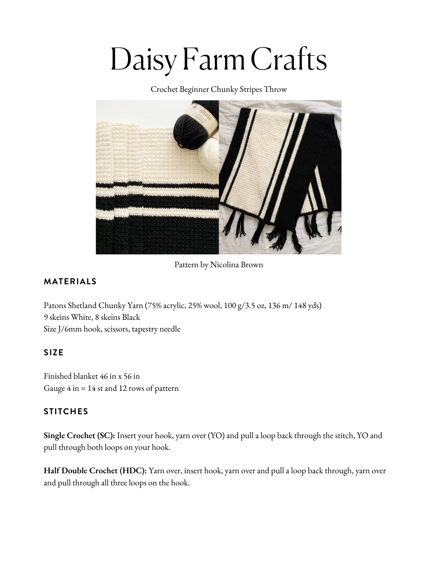# Daisy Farm Crafts

Crochet Beginner Chunky Stripes Throw



Pattern by Nicolina Brown

## **MATERIALS**

Patons [Shetland](https://www.yarnspirations.com/bernat-velvet-plus-yarn/161256.html?utm_source=Influencer_DFC&utm_medium=blog&utm_campaign=2021_01_12_bernat-velvet-plus-yarn) Chunky Yarn (75% acrylic, 25% wool, 100 g/3.5 oz, 136 m/ 148 yds) 9 skeins [White,](https://www.yarnspirations.com/bernat-velvet-plus-yarn/161256.html?utm_source=Influencer_DFC&utm_medium=blog&utm_campaign=2021_01_12_bernat-velvet-plus-yarn) 8 skeins Black Size J/6mm hook, scissors, [tapestry](https://www.yarnspirations.com/bernat-velvet-plus-yarn/161256.html?utm_source=Influencer_DFC&utm_medium=blog&utm_campaign=2021_01_12_bernat-velvet-plus-yarn) needle

### **SIZE**

Finished blanket 46 in x 56 in Gauge 4 in = 14 st and 12 rows of pattern

### **STITCHES**

**Single Crochet (SC):** Insert your hook, yarn over (YO) and pull a loop back through the stitch, YO and pull through both loops on your hook.

**Half Double Crochet (HDC):** Yarn over, insert hook, yarn over and pull a loop back through, yarn over and pull through all three loops on the hook.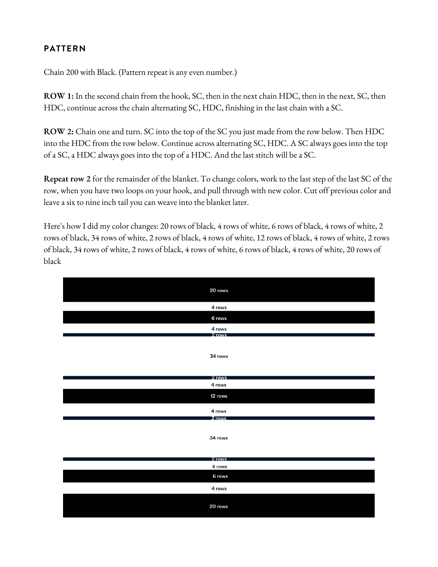### **PATTERN**

Chain 200 with Black. (Pattern repeat is any even [number.\)](https://www.yarnspirations.com/bernat-velvet-plus-yarn/161256.html?utm_source=Influencer_DFC&utm_medium=blog&utm_campaign=2021_01_12_bernat-velvet-plus-yarn)

**[ROW](https://www.yarnspirations.com/bernat-velvet-plus-yarn/161256.html?utm_source=Influencer_DFC&utm_medium=blog&utm_campaign=2021_01_12_bernat-velvet-plus-yarn) 1:** In the second chain from the hook, SC, then in the next chain HDC, then in the next, SC, then HDC, continue across the chain [alternating](https://www.yarnspirations.com/bernat-velvet-plus-yarn/161256.html?utm_source=Influencer_DFC&utm_medium=blog&utm_campaign=2021_01_12_bernat-velvet-plus-yarn) SC, HDC, finishing in the last chain with a SC.

**[ROW](https://www.yarnspirations.com/bernat-velvet-plus-yarn/161256.html?utm_source=Influencer_DFC&utm_medium=blog&utm_campaign=2021_01_12_bernat-velvet-plus-yarn) 2:** Chain one and turn. SC into the top of the SC you just made from the row below. Then HDC into the HDC from the row below. Continue across [alternating](https://www.yarnspirations.com/bernat-velvet-plus-yarn/161256.html?utm_source=Influencer_DFC&utm_medium=blog&utm_campaign=2021_01_12_bernat-velvet-plus-yarn) SC, HDC. A SC always goes into the top of a SC, a HDC always goes into the top of a HDC. And the last stitch will be a SC.

**[Repeat](https://www.yarnspirations.com/bernat-velvet-plus-yarn/161256.html?utm_source=Influencer_DFC&utm_medium=blog&utm_campaign=2021_01_12_bernat-velvet-plus-yarn) row 2** for the [remainder](https://www.yarnspirations.com/bernat-velvet-plus-yarn/161256.html?utm_source=Influencer_DFC&utm_medium=blog&utm_campaign=2021_01_12_bernat-velvet-plus-yarn) of the blanket. To change colors, work to the last step of the last SC of the row, when you have two loops on your hook, and pull through with new color. Cut off previous color and leave a six to nine inch tail you can weave into the blanket later.

Here's how I did my color [changes:](https://www.yarnspirations.com/bernat-velvet-plus-yarn/161256.html?utm_source=Influencer_DFC&utm_medium=blog&utm_campaign=2021_01_12_bernat-velvet-plus-yarn) 20 rows of black, 4 rows of white, 6 rows of black, 4 rows of white, 2 rows of black, 34 rows of white, 2 rows of black, 4 rows of white, 12 rows of black, 4 rows of white, 2 rows of black, 34 rows of white, 2 rows of black, 4 rows of white, 6 rows of black, 4 rows of white, 20 rows of black

| 20 rows          |
|------------------|
| 4 rows           |
| 6 rows           |
| 4 rows<br>2 rows |
|                  |
| 34 rows          |
|                  |
| 2 rows           |
| 4 rows           |
| 12 rows          |
| 4 rows           |
| 2 rows           |
| 34 rows          |
|                  |
| 2 rows           |
| 4 rows           |
| 6 rows           |
| 4 rows           |
| 20 rows          |